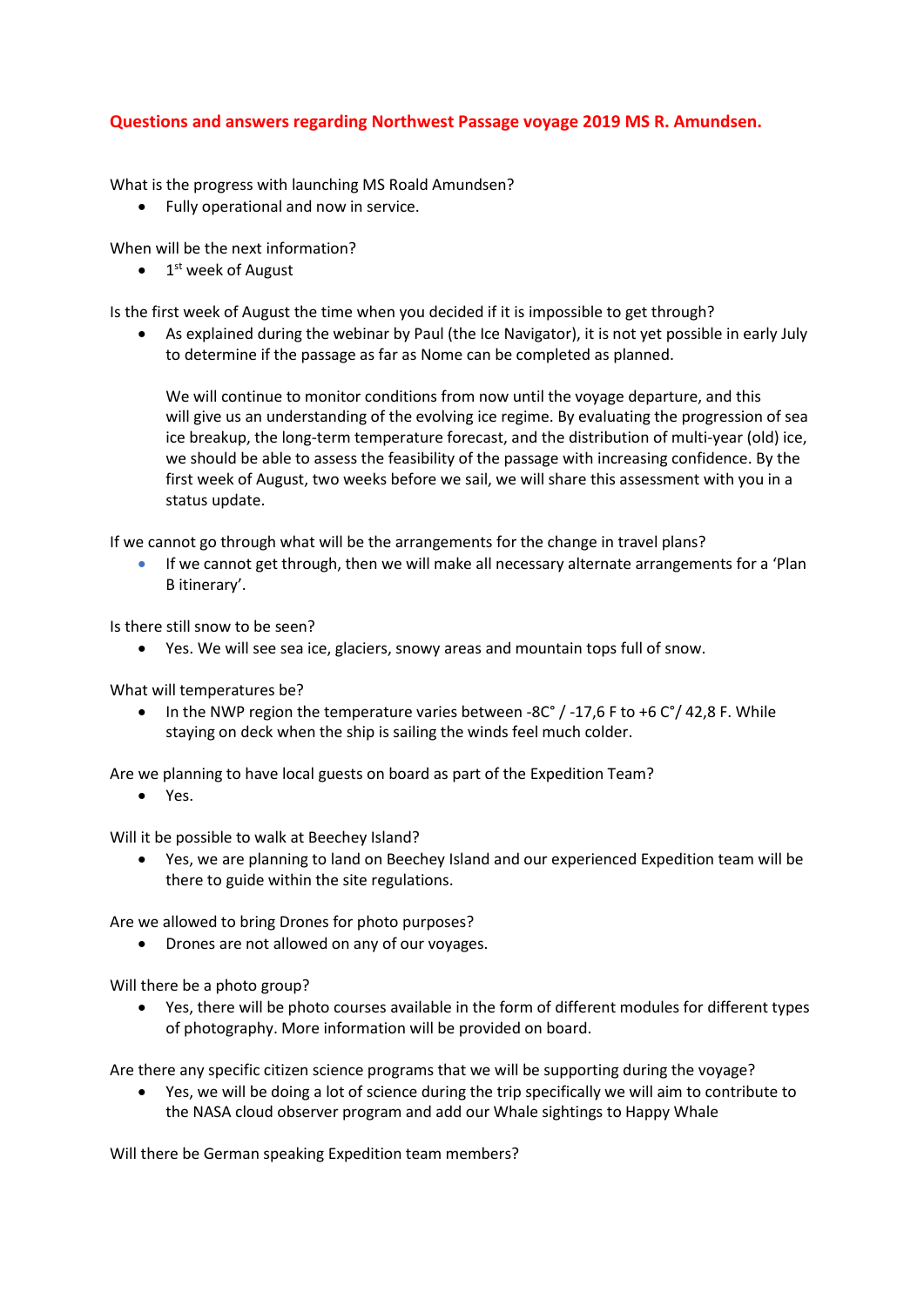## **Questions and answers regarding Northwest Passage voyage 2019 MS R. Amundsen.**

What is the progress with launching MS Roald Amundsen?

Fully operational and now in service.

When will be the next information?

 $\bullet$  1<sup>st</sup> week of August

Is the first week of August the time when you decided if it is impossible to get through?

 As explained during the webinar by Paul (the Ice Navigator), it is not yet possible in early July to determine if the passage as far as Nome can be completed as planned.

We will continue to monitor conditions from now until the voyage departure, and this will give us an understanding of the evolving ice regime. By evaluating the progression of sea ice breakup, the long-term temperature forecast, and the distribution of multi-year (old) ice, we should be able to assess the feasibility of the passage with increasing confidence. By the first week of August, two weeks before we sail, we will share this assessment with you in a status update.

If we cannot go through what will be the arrangements for the change in travel plans?

 If we cannot get through, then we will make all necessary alternate arrangements for a 'Plan B itinerary'.

Is there still snow to be seen?

Yes. We will see sea ice, glaciers, snowy areas and mountain tops full of snow.

What will temperatures be?

• In the NWP region the temperature varies between -8C° / -17,6 F to +6 C°/ 42,8 F. While staying on deck when the ship is sailing the winds feel much colder.

Are we planning to have local guests on board as part of the Expedition Team?

Yes.

Will it be possible to walk at Beechey Island?

 Yes, we are planning to land on Beechey Island and our experienced Expedition team will be there to guide within the site regulations.

Are we allowed to bring Drones for photo purposes?

Drones are not allowed on any of our voyages.

Will there be a photo group?

 Yes, there will be photo courses available in the form of different modules for different types of photography. More information will be provided on board.

Are there any specific citizen science programs that we will be supporting during the voyage?

 Yes, we will be doing a lot of science during the trip specifically we will aim to contribute to the NASA cloud observer program and add our Whale sightings to Happy Whale

Will there be German speaking Expedition team members?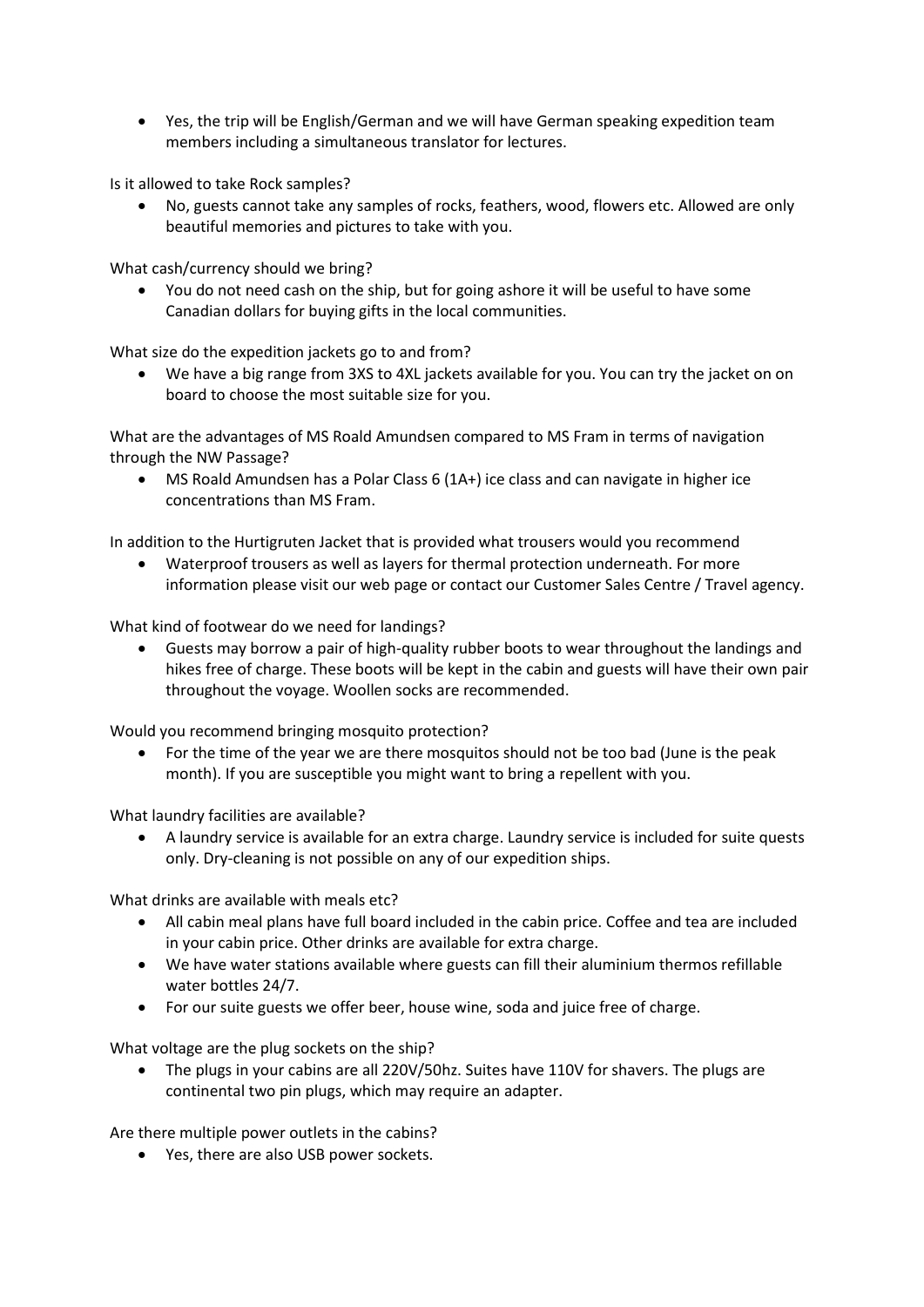Yes, the trip will be English/German and we will have German speaking expedition team members including a simultaneous translator for lectures.

Is it allowed to take Rock samples?

 No, guests cannot take any samples of rocks, feathers, wood, flowers etc. Allowed are only beautiful memories and pictures to take with you.

What cash/currency should we bring?

 You do not need cash on the ship, but for going ashore it will be useful to have some Canadian dollars for buying gifts in the local communities.

What size do the expedition jackets go to and from?

 We have a big range from 3XS to 4XL jackets available for you. You can try the jacket on on board to choose the most suitable size for you.

What are the advantages of MS Roald Amundsen compared to MS Fram in terms of navigation through the NW Passage?

 MS Roald Amundsen has a Polar Class 6 (1A+) ice class and can navigate in higher ice concentrations than MS Fram.

In addition to the Hurtigruten Jacket that is provided what trousers would you recommend

 Waterproof trousers as well as layers for thermal protection underneath. For more information please visit our web page or contact our Customer Sales Centre / Travel agency.

What kind of footwear do we need for landings?

 Guests may borrow a pair of high-quality rubber boots to wear throughout the landings and hikes free of charge. These boots will be kept in the cabin and guests will have their own pair throughout the voyage. Woollen socks are recommended.

Would you recommend bringing mosquito protection?

 For the time of the year we are there mosquitos should not be too bad (June is the peak month). If you are susceptible you might want to bring a repellent with you.

What laundry facilities are available?

 A laundry service is available for an extra charge. Laundry service is included for suite quests only. Dry-cleaning is not possible on any of our expedition ships.

What drinks are available with meals etc?

- All cabin meal plans have full board included in the cabin price. Coffee and tea are included in your cabin price. Other drinks are available for extra charge.
- We have water stations available where guests can fill their aluminium thermos refillable water bottles 24/7.
- For our suite guests we offer beer, house wine, soda and juice free of charge.

What voltage are the plug sockets on the ship?

• The plugs in your cabins are all 220V/50hz. Suites have 110V for shavers. The plugs are continental two pin plugs, which may require an adapter.

Are there multiple power outlets in the cabins?

Yes, there are also USB power sockets.